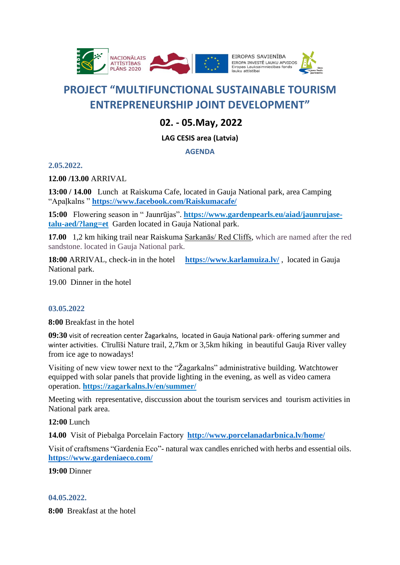

# **PROJECT "MULTIFUNCTIONAL SUSTAINABLE TOURISM ENTREPRENEURSHIP JOINT DEVELOPMENT"**

# **02. - 05.May, 2022**

## **LAG CESIS area (Latvia)**

### **AGENDA**

**2.05.2022.**

**12.00 /13.00** ARRIVAL

**13:00 / 14.00** Lunch at Raiskuma Cafe, located in Gauja National park, area Camping "Apaļkalns " **<https://www.facebook.com/Raiskumacafe/>**

**15:00** Flowering season in " Jaunrūjas". **[https://www.gardenpearls.eu/aiad/jaunrujase](https://www.gardenpearls.eu/aiad/jaunrujase-talu-aed/?lang=et)[talu-aed/?lang=et](https://www.gardenpearls.eu/aiad/jaunrujase-talu-aed/?lang=et)** Garden located in Gauja National park.

**17.00** 1,2 km hiking trail near Raiskuma [Sarkanās/ Red Cliffs,](https://www.geocaching.com/seek/cache_details.aspx?wp=GC5HPPD&title=sarkans-klintis-csis&guid=2972018e-0f8f-4bac-b1fa-7720b7cdfbba) which are named after the red sandstone. located in Gauja National park.

**18:00** ARRIVAL, check-in in the hotel **<https://www.karlamuiza.lv/>** , located in Gauja National park.

19.00 Dinner in the hotel

### **03.05.2022**

**8:00** Breakfast in the hotel

**09:30** visit of recreation center Žagarkalns, located in Gauja National park- offering summer and winter activities. Cīrulīši Nature trail, 2,7km or 3,5km hiking in beautiful Gauja River valley from ice age to nowadays!

Visiting of new view tower next to the "Žagarkalns" administrative building. Watchtower equipped with solar panels that provide lighting in the evening, as well as video camera operation. **<https://zagarkalns.lv/en/summer/>**

Meeting with representative, disccussion about the tourism services and tourism activities in National park area.

**12:00** Lunch

**14.00**Visit of Piebalga Porcelain Factory **<http://www.porcelanadarbnica.lv/home/>**

Visit of craftsmens "Gardenia Eco"- natural wax candles enriched with herbs and essential oils. **<https://www.gardeniaeco.com/>**

#### **19:00** Dinner

### **04.05.2022.**

**8:00** Breakfast at the hotel